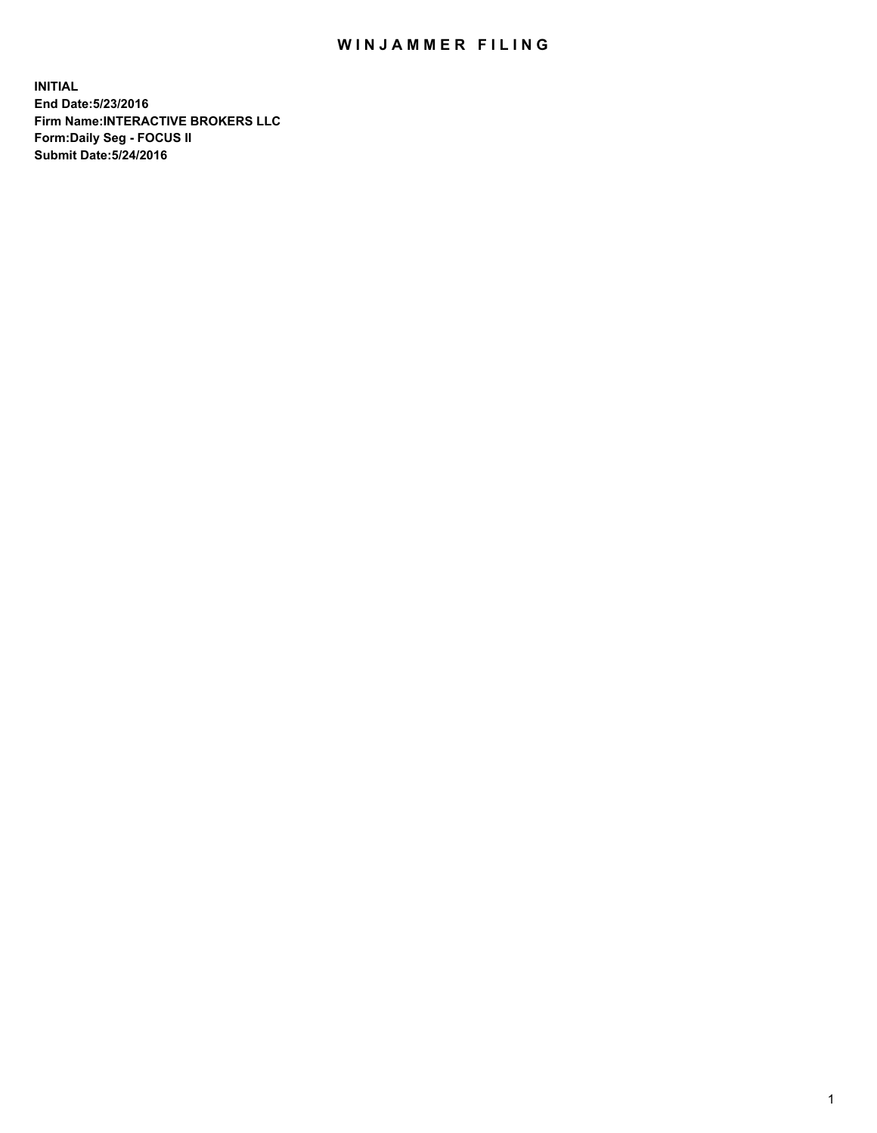## WIN JAMMER FILING

**INITIAL End Date:5/23/2016 Firm Name:INTERACTIVE BROKERS LLC Form:Daily Seg - FOCUS II Submit Date:5/24/2016**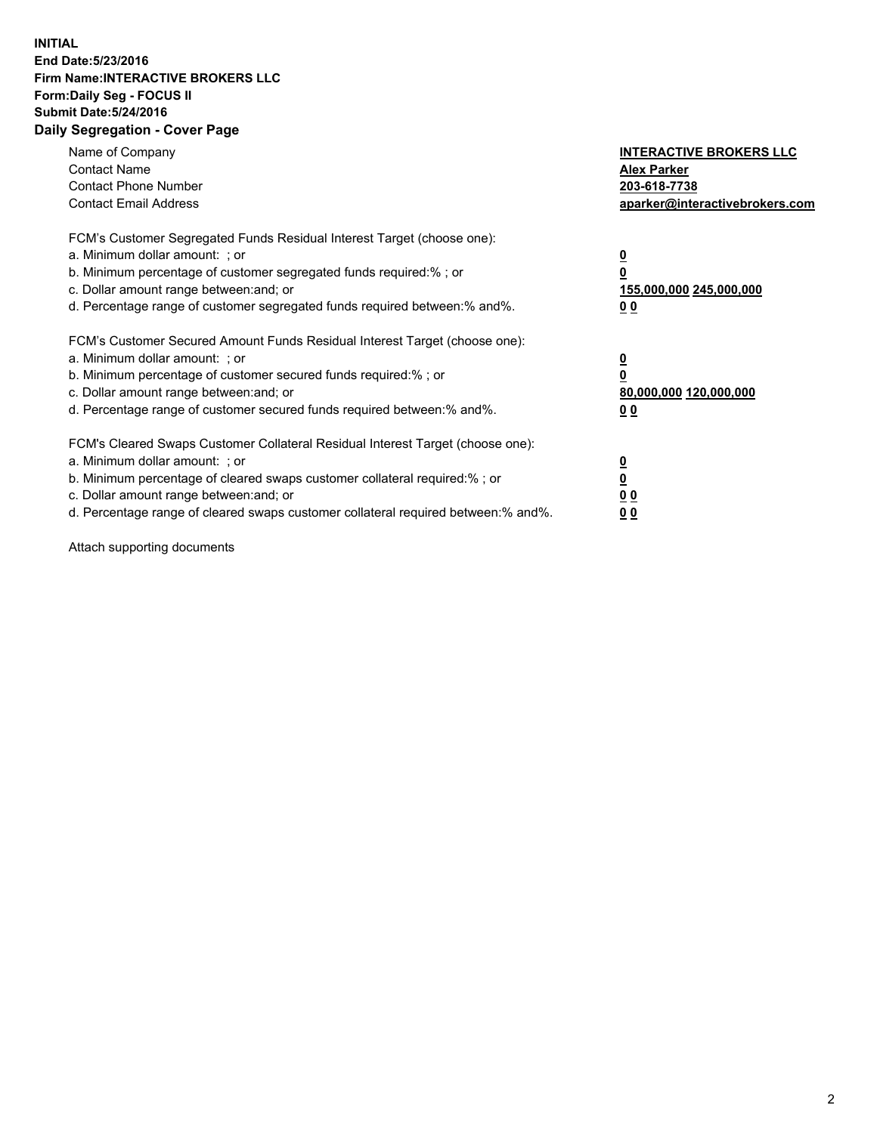## **INITIAL End Date:5/23/2016 Firm Name:INTERACTIVE BROKERS LLC Form:Daily Seg - FOCUS II Submit Date:5/24/2016 Daily Segregation - Cover Page**

| Name of Company<br><b>Contact Name</b><br><b>Contact Phone Number</b><br><b>Contact Email Address</b>                                                                                                                                                                                                                          | <b>INTERACTIVE BROKERS LLC</b><br><b>Alex Parker</b><br>203-618-7738<br>aparker@interactivebrokers.com |
|--------------------------------------------------------------------------------------------------------------------------------------------------------------------------------------------------------------------------------------------------------------------------------------------------------------------------------|--------------------------------------------------------------------------------------------------------|
| FCM's Customer Segregated Funds Residual Interest Target (choose one):<br>a. Minimum dollar amount: ; or<br>b. Minimum percentage of customer segregated funds required:%; or<br>c. Dollar amount range between: and; or<br>d. Percentage range of customer segregated funds required between:% and%.                          | <u>0</u><br>155,000,000 245,000,000<br><u>0 0</u>                                                      |
| FCM's Customer Secured Amount Funds Residual Interest Target (choose one):<br>a. Minimum dollar amount: ; or<br>b. Minimum percentage of customer secured funds required:% ; or<br>c. Dollar amount range between: and; or<br>d. Percentage range of customer secured funds required between:% and%.                           | <u>0</u><br>80,000,000 120,000,000<br><u>0 0</u>                                                       |
| FCM's Cleared Swaps Customer Collateral Residual Interest Target (choose one):<br>a. Minimum dollar amount: ; or<br>b. Minimum percentage of cleared swaps customer collateral required:% ; or<br>c. Dollar amount range between: and; or<br>d. Percentage range of cleared swaps customer collateral required between:% and%. | <u>0</u><br>0 <sub>0</sub><br>0 <sub>0</sub>                                                           |

Attach supporting documents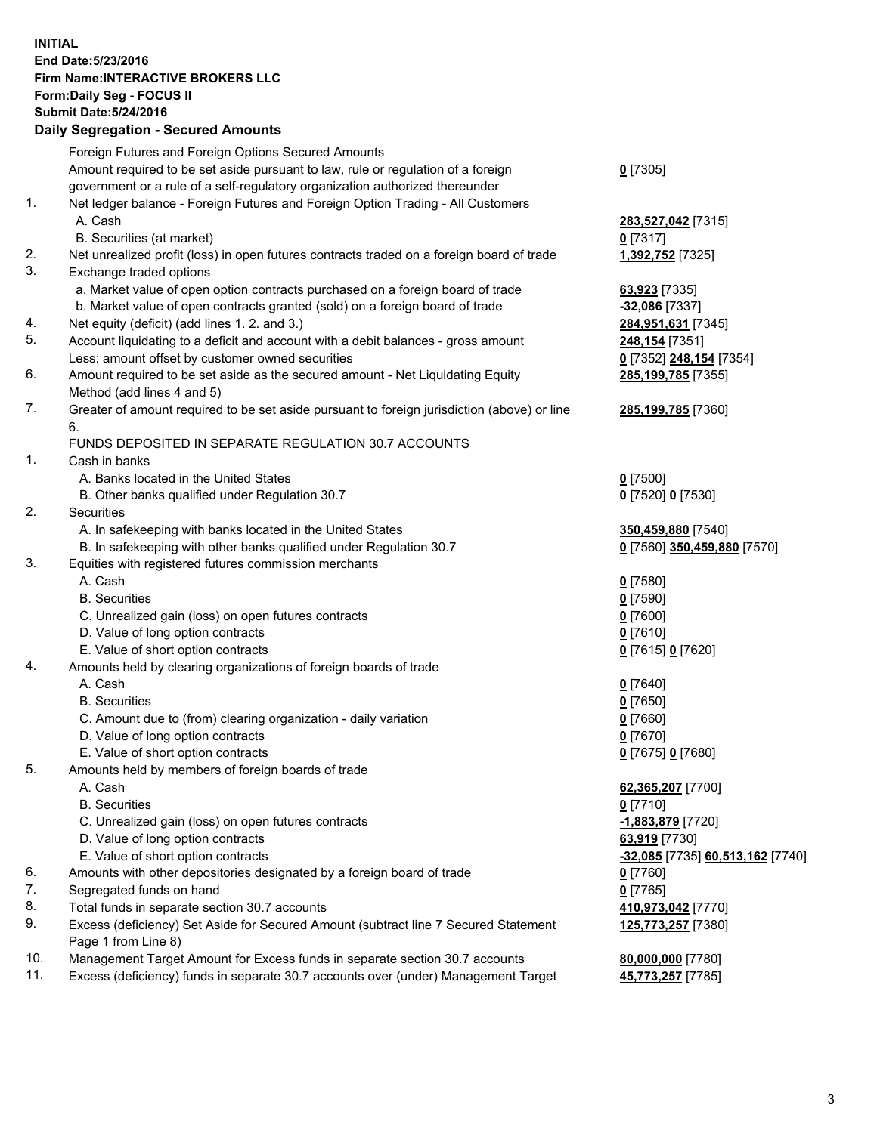## **INITIAL End Date:5/23/2016 Firm Name:INTERACTIVE BROKERS LLC Form:Daily Seg - FOCUS II Submit Date:5/24/2016 Daily Segregation - Secured Amounts**

|                | Daily Jegregation - Jeculed Aniounts                                                                       |                                  |
|----------------|------------------------------------------------------------------------------------------------------------|----------------------------------|
|                | Foreign Futures and Foreign Options Secured Amounts                                                        |                                  |
|                | Amount required to be set aside pursuant to law, rule or regulation of a foreign                           | $0$ [7305]                       |
|                | government or a rule of a self-regulatory organization authorized thereunder                               |                                  |
| 1.             | Net ledger balance - Foreign Futures and Foreign Option Trading - All Customers                            |                                  |
|                | A. Cash                                                                                                    | 283,527,042 [7315]               |
|                | B. Securities (at market)                                                                                  | $0$ [7317]                       |
| 2.             | Net unrealized profit (loss) in open futures contracts traded on a foreign board of trade                  | 1,392,752 [7325]                 |
| 3.             | Exchange traded options                                                                                    |                                  |
|                | a. Market value of open option contracts purchased on a foreign board of trade                             | 63,923 [7335]                    |
|                | b. Market value of open contracts granted (sold) on a foreign board of trade                               | -32,086 [7337]                   |
| 4.             | Net equity (deficit) (add lines 1.2. and 3.)                                                               | 284,951,631 [7345]               |
| 5.             | Account liquidating to a deficit and account with a debit balances - gross amount                          | 248,154 [7351]                   |
|                | Less: amount offset by customer owned securities                                                           | 0 [7352] 248,154 [7354]          |
| 6.             | Amount required to be set aside as the secured amount - Net Liquidating Equity                             | 285, 199, 785 [7355]             |
|                | Method (add lines 4 and 5)                                                                                 |                                  |
| 7.             | Greater of amount required to be set aside pursuant to foreign jurisdiction (above) or line                | 285,199,785 [7360]               |
|                | 6.                                                                                                         |                                  |
|                | FUNDS DEPOSITED IN SEPARATE REGULATION 30.7 ACCOUNTS                                                       |                                  |
| $\mathbf{1}$ . | Cash in banks                                                                                              |                                  |
|                | A. Banks located in the United States                                                                      | $0$ [7500]                       |
|                | B. Other banks qualified under Regulation 30.7                                                             | 0 [7520] 0 [7530]                |
| 2.             | Securities                                                                                                 |                                  |
|                | A. In safekeeping with banks located in the United States                                                  | 350,459,880 [7540]               |
|                | B. In safekeeping with other banks qualified under Regulation 30.7                                         | 0 [7560] 350,459,880 [7570]      |
| 3.             | Equities with registered futures commission merchants                                                      |                                  |
|                | A. Cash                                                                                                    | $0$ [7580]                       |
|                | <b>B.</b> Securities                                                                                       | $0$ [7590]                       |
|                | C. Unrealized gain (loss) on open futures contracts                                                        | $0$ [7600]                       |
|                | D. Value of long option contracts                                                                          | $0$ [7610]                       |
|                | E. Value of short option contracts                                                                         | 0 [7615] 0 [7620]                |
| 4.             | Amounts held by clearing organizations of foreign boards of trade                                          |                                  |
|                | A. Cash                                                                                                    | $0$ [7640]                       |
|                | <b>B.</b> Securities                                                                                       | $0$ [7650]                       |
|                | C. Amount due to (from) clearing organization - daily variation                                            | $0$ [7660]                       |
|                | D. Value of long option contracts                                                                          | $0$ [7670]                       |
|                | E. Value of short option contracts                                                                         | 0 [7675] 0 [7680]                |
| 5.             | Amounts held by members of foreign boards of trade                                                         |                                  |
|                | A. Cash                                                                                                    | 62,365,207 [7700]                |
|                | <b>B.</b> Securities                                                                                       | $0$ [7710]                       |
|                | C. Unrealized gain (loss) on open futures contracts                                                        | -1,883,879 [7720]                |
|                | D. Value of long option contracts                                                                          | 63,919 [7730]                    |
|                | E. Value of short option contracts                                                                         | -32,085 [7735] 60,513,162 [7740] |
| 6.             | Amounts with other depositories designated by a foreign board of trade                                     | $0$ [7760]                       |
| 7.             | Segregated funds on hand                                                                                   | $0$ [7765]                       |
| 8.             | Total funds in separate section 30.7 accounts                                                              | 410,973,042 [7770]               |
| 9.             | Excess (deficiency) Set Aside for Secured Amount (subtract line 7 Secured Statement<br>Page 1 from Line 8) | 125,773,257 [7380]               |
| 10.            | Management Target Amount for Excess funds in separate section 30.7 accounts                                | 80,000,000 [7780]                |
| 11.            | Excess (deficiency) funds in separate 30.7 accounts over (under) Management Target                         | 45,773,257 [7785]                |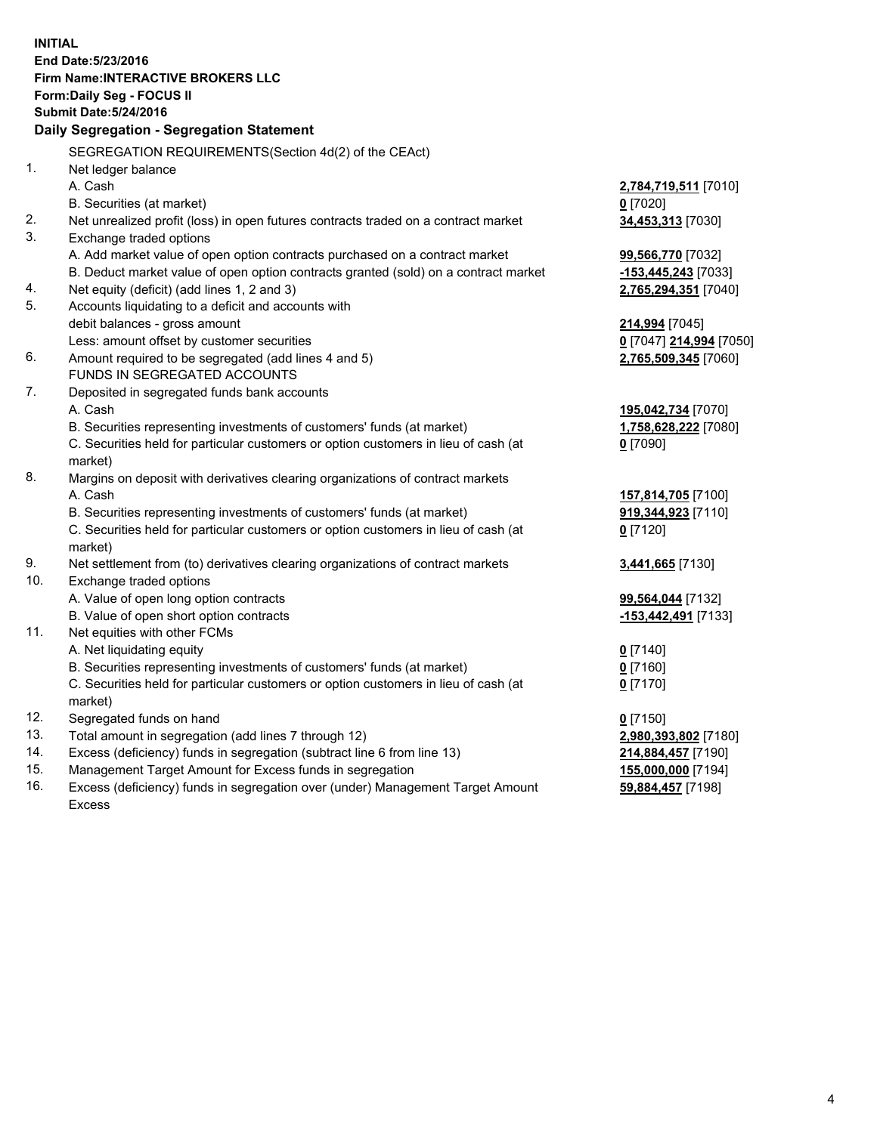**INITIAL End Date:5/23/2016 Firm Name:INTERACTIVE BROKERS LLC Form:Daily Seg - FOCUS II Submit Date:5/24/2016 Daily Segregation - Segregation Statement** SEGREGATION REQUIREMENTS(Section 4d(2) of the CEAct) 1. Net ledger balance A. Cash **2,784,719,511** [7010] B. Securities (at market) **0** [7020] 2. Net unrealized profit (loss) in open futures contracts traded on a contract market **34,453,313** [7030] 3. Exchange traded options A. Add market value of open option contracts purchased on a contract market **99,566,770** [7032] B. Deduct market value of open option contracts granted (sold) on a contract market **-153,445,243** [7033] 4. Net equity (deficit) (add lines 1, 2 and 3) **2,765,294,351** [7040] 5. Accounts liquidating to a deficit and accounts with debit balances - gross amount **214,994** [7045] Less: amount offset by customer securities **0** [7047] **214,994** [7050] 6. Amount required to be segregated (add lines 4 and 5) **2,765,509,345** [7060] FUNDS IN SEGREGATED ACCOUNTS 7. Deposited in segregated funds bank accounts A. Cash **195,042,734** [7070] B. Securities representing investments of customers' funds (at market) **1,758,628,222** [7080] C. Securities held for particular customers or option customers in lieu of cash (at market) **0** [7090] 8. Margins on deposit with derivatives clearing organizations of contract markets A. Cash **157,814,705** [7100] B. Securities representing investments of customers' funds (at market) **919,344,923** [7110] C. Securities held for particular customers or option customers in lieu of cash (at market) **0** [7120] 9. Net settlement from (to) derivatives clearing organizations of contract markets **3,441,665** [7130] 10. Exchange traded options A. Value of open long option contracts **99,564,044** [7132] B. Value of open short option contracts **-153,442,491** [7133] 11. Net equities with other FCMs A. Net liquidating equity **0** [7140] B. Securities representing investments of customers' funds (at market) **0** [7160] C. Securities held for particular customers or option customers in lieu of cash (at market) **0** [7170] 12. Segregated funds on hand **0** [7150] 13. Total amount in segregation (add lines 7 through 12) **2,980,393,802** [7180] 14. Excess (deficiency) funds in segregation (subtract line 6 from line 13) **214,884,457** [7190] 15. Management Target Amount for Excess funds in segregation **155,000,000** [7194] **59,884,457** [7198]

16. Excess (deficiency) funds in segregation over (under) Management Target Amount Excess